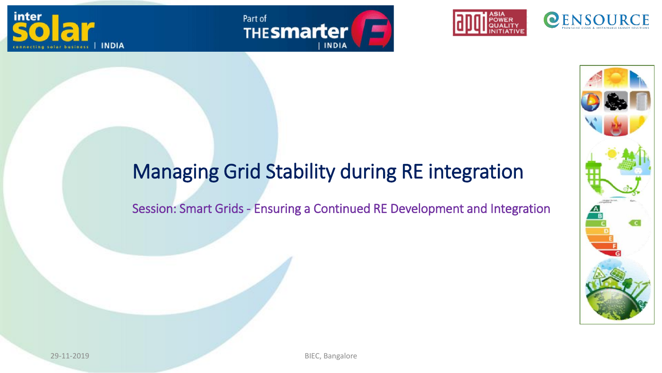







## Managing Grid Stability during RE integration

Session: Smart Grids - Ensuring a Continued RE Development and Integration

inter

**INDIA** 

29-11-2019 BIEC, Bangalore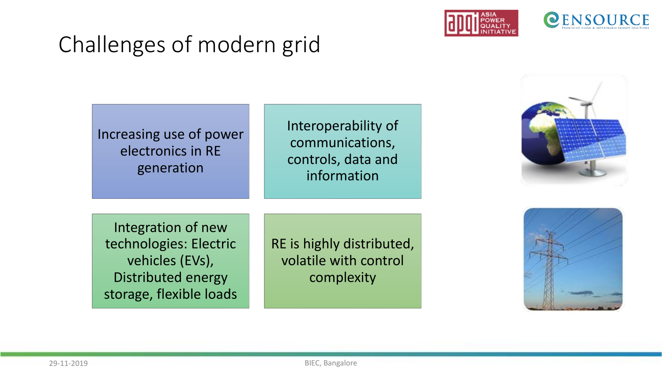



# Challenges of modern grid

#### Increasing use of power electronics in RE generation

Interoperability of communications, controls, data and information



Integration of new technologies: Electric vehicles (EVs), Distributed energy storage, flexible loads

RE is highly distributed, volatile with control complexity

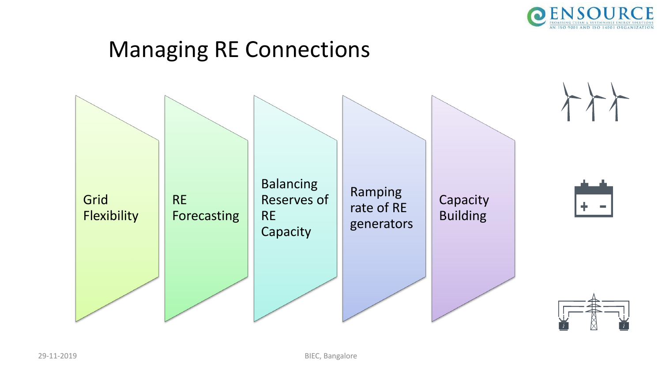

## Managing RE Connections

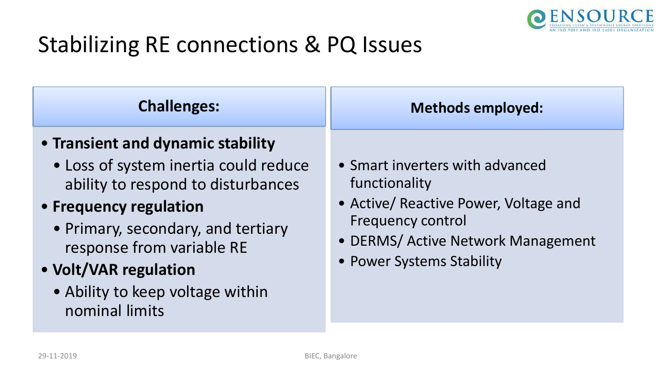

# Stabilizing RE connections & PQ Issues

### **Challenges:**

### • **Transient and dynamic stability**

• Loss of system inertia could reduce ability to respond to disturbances

### • **Frequency regulation**

- Primary, secondary, and tertiary response from variable RE
- **Volt/VAR regulation** 
	- Ability to keep voltage within nominal limits

#### **Methods employed:**

- Smart inverters with advanced functionality
- Active/ Reactive Power, Voltage and Frequency control
- DERMS/ Active Network Management
- Power Systems Stability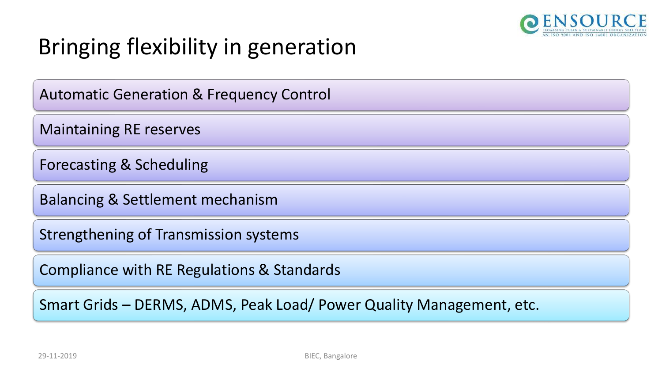

# Bringing flexibility in generation

Automatic Generation & Frequency Control

Maintaining RE reserves

Forecasting & Scheduling

Balancing & Settlement mechanism

Strengthening of Transmission systems

Compliance with RE Regulations & Standards

Smart Grids – DERMS, ADMS, Peak Load/ Power Quality Management, etc.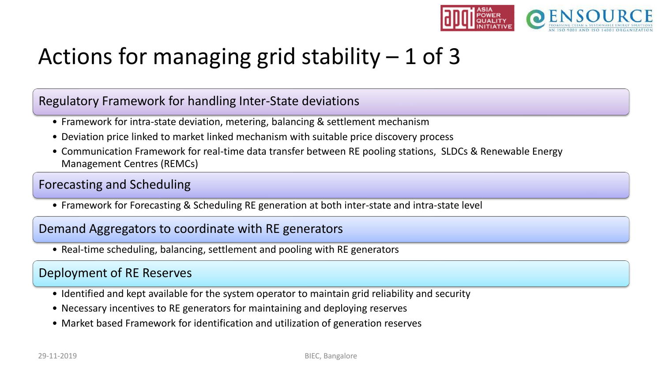

# Actions for managing grid stability  $-1$  of 3

#### Regulatory Framework for handling Inter-State deviations

- Framework for intra-state deviation, metering, balancing & settlement mechanism
- Deviation price linked to market linked mechanism with suitable price discovery process
- Communication Framework for real-time data transfer between RE pooling stations, SLDCs & Renewable Energy Management Centres (REMCs)

#### Forecasting and Scheduling

• Framework for Forecasting & Scheduling RE generation at both inter-state and intra-state level

#### Demand Aggregators to coordinate with RE generators

• Real-time scheduling, balancing, settlement and pooling with RE generators

#### Deployment of RE Reserves

- Identified and kept available for the system operator to maintain grid reliability and security
- Necessary incentives to RE generators for maintaining and deploying reserves
- Market based Framework for identification and utilization of generation reserves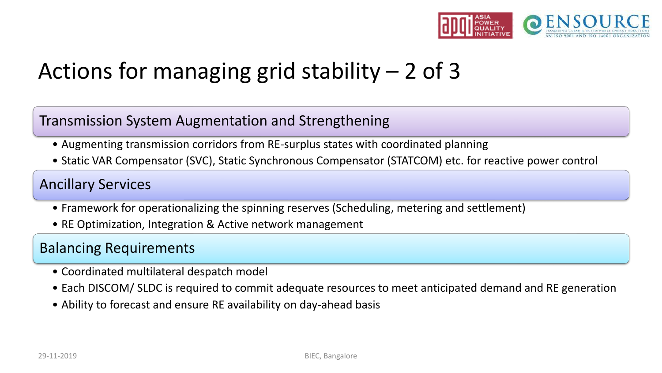

# Actions for managing grid stability  $-2$  of 3

#### Transmission System Augmentation and Strengthening

- Augmenting transmission corridors from RE-surplus states with coordinated planning
- Static VAR Compensator (SVC), Static Synchronous Compensator (STATCOM) etc. for reactive power control

#### Ancillary Services

- Framework for operationalizing the spinning reserves (Scheduling, metering and settlement)
- RE Optimization, Integration & Active network management

#### Balancing Requirements

- Coordinated multilateral despatch model
- Each DISCOM/ SLDC is required to commit adequate resources to meet anticipated demand and RE generation
- Ability to forecast and ensure RE availability on day-ahead basis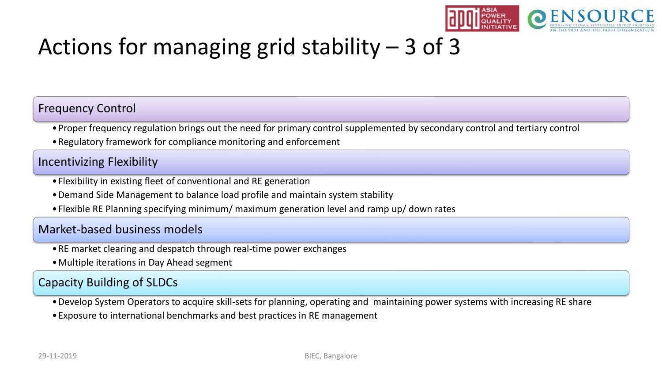

# Actions for managing grid stability  $-3$  of 3

#### Frequency Control

- •Proper frequency regulation brings out the need for primary control supplemented by secondary control and tertiary control
- •Regulatory framework for compliance monitoring and enforcement

#### Incentivizing Flexibility

- •Flexibility in existing fleet of conventional and RE generation
- •Demand Side Management to balance load profile and maintain system stability
- •Flexible RE Planning specifying minimum/ maximum generation level and ramp up/ down rates

#### Market-based business models

- •RE market clearing and despatch through real-time power exchanges
- •Multiple iterations in Day Ahead segment

#### Capacity Building of SLDCs

•Develop System Operators to acquire skill-sets for planning, operating and maintaining power systems with increasing RE share

•Exposure to international benchmarks and best practices in RE management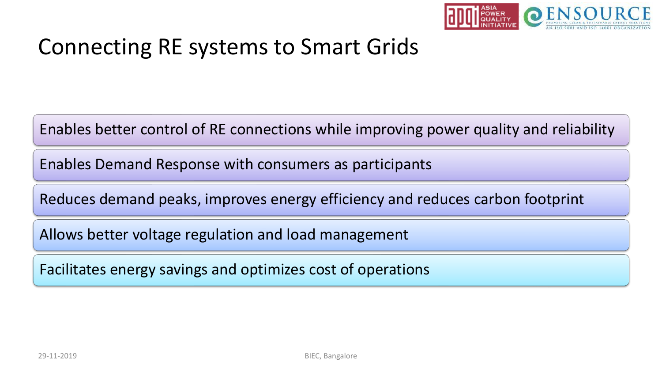

## Connecting RE systems to Smart Grids

Enables better control of RE connections while improving power quality and reliability

Enables Demand Response with consumers as participants

Reduces demand peaks, improves energy efficiency and reduces carbon footprint

Allows better voltage regulation and load management

Facilitates energy savings and optimizes cost of operations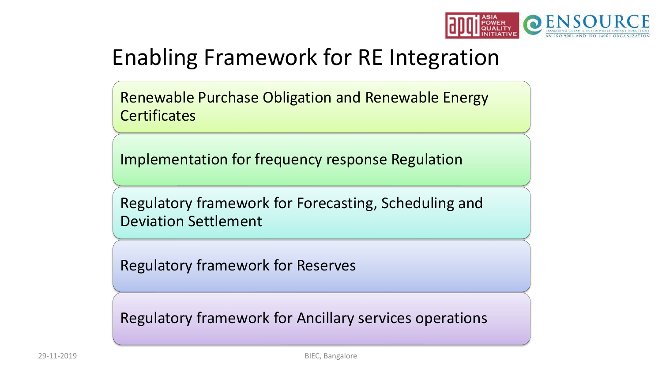

# Enabling Framework for RE Integration

Renewable Purchase Obligation and Renewable Energy **Certificates** 

Implementation for frequency response Regulation

Regulatory framework for Forecasting, Scheduling and Deviation Settlement

Regulatory framework for Reserves

Regulatory framework for Ancillary services operations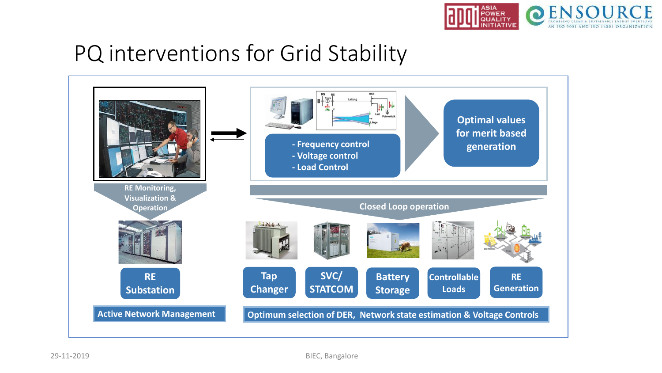

## PQ interventions for Grid Stability

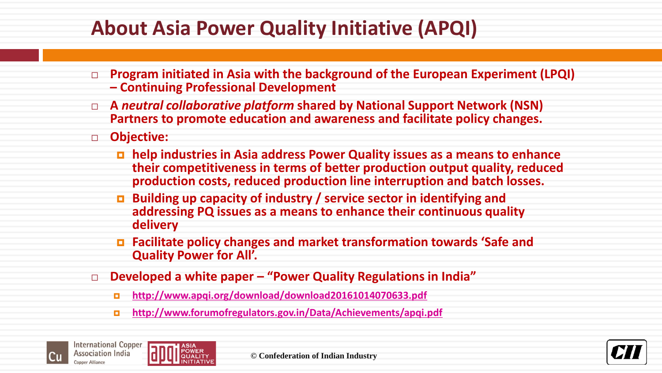## **About Asia Power Quality Initiative (APQI)**

- **Program initiated in Asia with the background of the European Experiment (LPQI) – Continuing Professional Development**
- **A** *neutral collaborative platform* **shared by National Support Network (NSN) Partners to promote education and awareness and facilitate policy changes.**
- **Objective:** 
	- **help industries in Asia address Power Quality issues as a means to enhance their competitiveness in terms of better production output quality, reduced production costs, reduced production line interruption and batch losses.**
	- **Building up capacity of industry / service sector in identifying and addressing PQ issues as a means to enhance their continuous quality delivery**
	- **Facilitate policy changes and market transformation towards 'Safe and Quality Power for All'.**
- **Developed a white paper – "Power Quality Regulations in India"**
	- **[http://www.apqi.org/download/download20161014070633.pdf](http://www.forumofregulators.gov.in/Data/Achievements/apqi.pdf)**
	- **<http://www.forumofregulators.gov.in/Data/Achievements/apqi.pdf>**